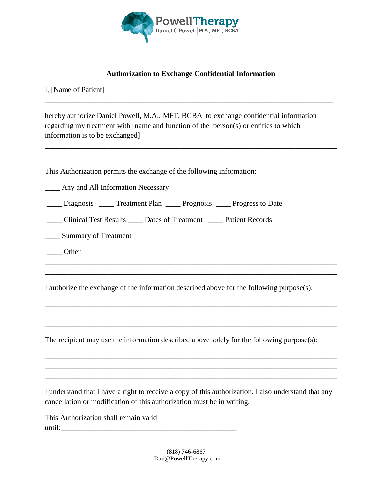

## **Authorization to Exchange Confidential Information**

\_\_\_\_\_\_\_\_\_\_\_\_\_\_\_\_\_\_\_\_\_\_\_\_\_\_\_\_\_\_\_\_\_\_\_\_\_\_\_\_\_\_\_\_\_\_\_\_\_\_\_\_\_\_\_\_\_\_\_\_\_\_\_\_\_\_\_\_\_\_\_\_\_\_\_\_\_

\_\_\_\_\_\_\_\_\_\_\_\_\_\_\_\_\_\_\_\_\_\_\_\_\_\_\_\_\_\_\_\_\_\_\_\_\_\_\_\_\_\_\_\_\_\_\_\_\_\_\_\_\_\_\_\_\_\_\_\_\_\_\_\_\_\_\_\_\_\_\_\_\_\_\_\_\_\_ \_\_\_\_\_\_\_\_\_\_\_\_\_\_\_\_\_\_\_\_\_\_\_\_\_\_\_\_\_\_\_\_\_\_\_\_\_\_\_\_\_\_\_\_\_\_\_\_\_\_\_\_\_\_\_\_\_\_\_\_\_\_\_\_\_\_\_\_\_\_\_\_\_\_\_\_\_\_

I, [Name of Patient]

hereby authorize Daniel Powell, M.A., MFT, BCBA to exchange confidential information regarding my treatment with [name and function of the person(s) or entities to which information is to be exchanged]

This Authorization permits the exchange of the following information:

\_\_\_\_ Any and All Information Necessary

\_\_\_\_ Diagnosis \_\_\_\_ Treatment Plan \_\_\_\_ Prognosis \_\_\_\_ Progress to Date

| <b>Clinical Test Results</b> | Dates of Treatment | <b>Patient Records</b> |
|------------------------------|--------------------|------------------------|
|------------------------------|--------------------|------------------------|

\_\_\_\_ Summary of Treatment

\_\_\_\_ Other

I authorize the exchange of the information described above for the following purpose(s):

\_\_\_\_\_\_\_\_\_\_\_\_\_\_\_\_\_\_\_\_\_\_\_\_\_\_\_\_\_\_\_\_\_\_\_\_\_\_\_\_\_\_\_\_\_\_\_\_\_\_\_\_\_\_\_\_\_\_\_\_\_\_\_\_\_\_\_\_\_\_\_\_\_\_\_\_\_\_ \_\_\_\_\_\_\_\_\_\_\_\_\_\_\_\_\_\_\_\_\_\_\_\_\_\_\_\_\_\_\_\_\_\_\_\_\_\_\_\_\_\_\_\_\_\_\_\_\_\_\_\_\_\_\_\_\_\_\_\_\_\_\_\_\_\_\_\_\_\_\_\_\_\_\_\_\_\_

\_\_\_\_\_\_\_\_\_\_\_\_\_\_\_\_\_\_\_\_\_\_\_\_\_\_\_\_\_\_\_\_\_\_\_\_\_\_\_\_\_\_\_\_\_\_\_\_\_\_\_\_\_\_\_\_\_\_\_\_\_\_\_\_\_\_\_\_\_\_\_\_\_\_\_\_\_\_ \_\_\_\_\_\_\_\_\_\_\_\_\_\_\_\_\_\_\_\_\_\_\_\_\_\_\_\_\_\_\_\_\_\_\_\_\_\_\_\_\_\_\_\_\_\_\_\_\_\_\_\_\_\_\_\_\_\_\_\_\_\_\_\_\_\_\_\_\_\_\_\_\_\_\_\_\_\_ \_\_\_\_\_\_\_\_\_\_\_\_\_\_\_\_\_\_\_\_\_\_\_\_\_\_\_\_\_\_\_\_\_\_\_\_\_\_\_\_\_\_\_\_\_\_\_\_\_\_\_\_\_\_\_\_\_\_\_\_\_\_\_\_\_\_\_\_\_\_\_\_\_\_\_\_\_\_

The recipient may use the information described above solely for the following purpose(s):

I understand that I have a right to receive a copy of this authorization. I also understand that any cancellation or modification of this authorization must be in writing.

\_\_\_\_\_\_\_\_\_\_\_\_\_\_\_\_\_\_\_\_\_\_\_\_\_\_\_\_\_\_\_\_\_\_\_\_\_\_\_\_\_\_\_\_\_\_\_\_\_\_\_\_\_\_\_\_\_\_\_\_\_\_\_\_\_\_\_\_\_\_\_\_\_\_\_\_\_\_ \_\_\_\_\_\_\_\_\_\_\_\_\_\_\_\_\_\_\_\_\_\_\_\_\_\_\_\_\_\_\_\_\_\_\_\_\_\_\_\_\_\_\_\_\_\_\_\_\_\_\_\_\_\_\_\_\_\_\_\_\_\_\_\_\_\_\_\_\_\_\_\_\_\_\_\_\_\_ \_\_\_\_\_\_\_\_\_\_\_\_\_\_\_\_\_\_\_\_\_\_\_\_\_\_\_\_\_\_\_\_\_\_\_\_\_\_\_\_\_\_\_\_\_\_\_\_\_\_\_\_\_\_\_\_\_\_\_\_\_\_\_\_\_\_\_\_\_\_\_\_\_\_\_\_\_\_

This Authorization shall remain valid until: